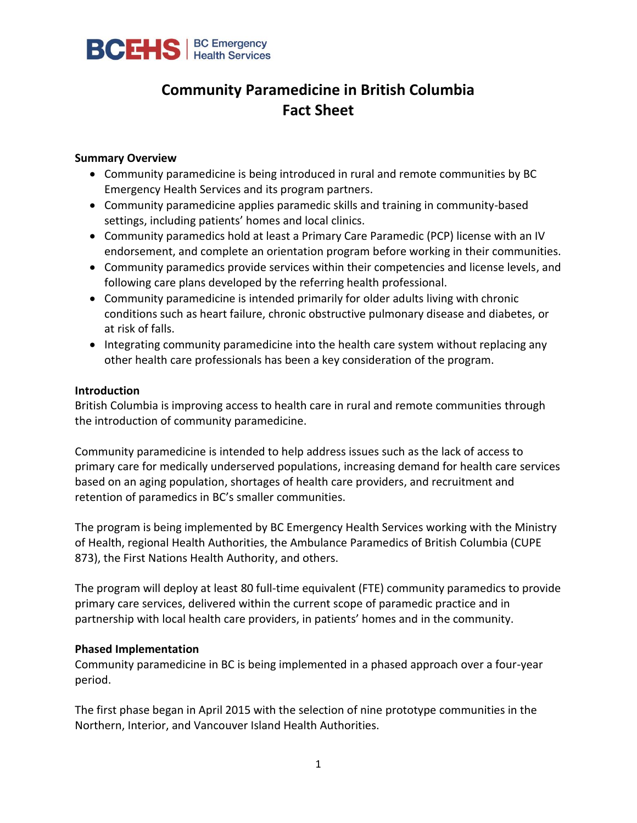

# **Community Paramedicine in British Columbia Fact Sheet**

#### **Summary Overview**

- Community paramedicine is being introduced in rural and remote communities by BC Emergency Health Services and its program partners.
- Community paramedicine applies paramedic skills and training in community-based settings, including patients' homes and local clinics.
- Community paramedics hold at least a Primary Care Paramedic (PCP) license with an IV endorsement, and complete an orientation program before working in their communities.
- Community paramedics provide services within their competencies and license levels, and following care plans developed by the referring health professional.
- Community paramedicine is intended primarily for older adults living with chronic conditions such as heart failure, chronic obstructive pulmonary disease and diabetes, or at risk of falls.
- Integrating community paramedicine into the health care system without replacing any other health care professionals has been a key consideration of the program.

#### **Introduction**

British Columbia is improving access to health care in rural and remote communities through the introduction of community paramedicine.

Community paramedicine is intended to help address issues such as the lack of access to primary care for medically underserved populations, increasing demand for health care services based on an aging population, shortages of health care providers, and recruitment and retention of paramedics in BC's smaller communities.

The program is being implemented by BC Emergency Health Services working with the Ministry of Health, regional Health Authorities, the Ambulance Paramedics of British Columbia (CUPE 873), the First Nations Health Authority, and others.

The program will deploy at least 80 full-time equivalent (FTE) community paramedics to provide primary care services, delivered within the current scope of paramedic practice and in partnership with local health care providers, in patients' homes and in the community.

#### **Phased Implementation**

Community paramedicine in BC is being implemented in a phased approach over a four-year period.

The first phase began in April 2015 with the selection of nine prototype communities in the Northern, Interior, and Vancouver Island Health Authorities.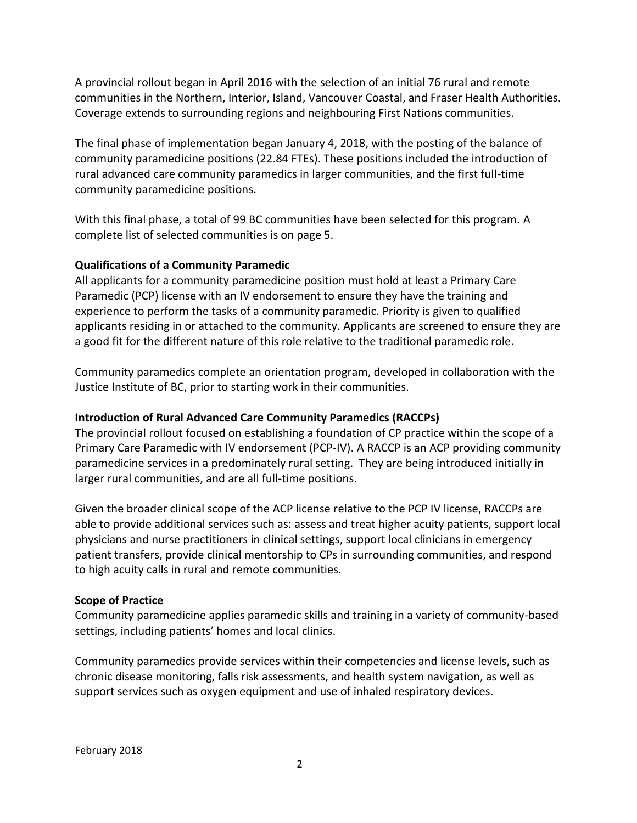A provincial rollout began in April 2016 with the selection of an initial 76 rural and remote communities in the Northern, Interior, Island, Vancouver Coastal, and Fraser Health Authorities. Coverage extends to surrounding regions and neighbouring First Nations communities.

The final phase of implementation began January 4, 2018, with the posting of the balance of community paramedicine positions (22.84 FTEs). These positions included the introduction of rural advanced care community paramedics in larger communities, and the first full-time community paramedicine positions.

With this final phase, a total of 99 BC communities have been selected for this program. A complete list of selected communities is on page 5.

# **Qualifications of a Community Paramedic**

All applicants for a community paramedicine position must hold at least a Primary Care Paramedic (PCP) license with an IV endorsement to ensure they have the training and experience to perform the tasks of a community paramedic. Priority is given to qualified applicants residing in or attached to the community. Applicants are screened to ensure they are a good fit for the different nature of this role relative to the traditional paramedic role.

Community paramedics complete an orientation program, developed in collaboration with the Justice Institute of BC, prior to starting work in their communities.

# **Introduction of Rural Advanced Care Community Paramedics (RACCPs)**

The provincial rollout focused on establishing a foundation of CP practice within the scope of a Primary Care Paramedic with IV endorsement (PCP-IV). A RACCP is an ACP providing community paramedicine services in a predominately rural setting. They are being introduced initially in larger rural communities, and are all full-time positions.

Given the broader clinical scope of the ACP license relative to the PCP IV license, RACCPs are able to provide additional services such as: assess and treat higher acuity patients, support local physicians and nurse practitioners in clinical settings, support local clinicians in emergency patient transfers, provide clinical mentorship to CPs in surrounding communities, and respond to high acuity calls in rural and remote communities.

#### **Scope of Practice**

Community paramedicine applies paramedic skills and training in a variety of community-based settings, including patients' homes and local clinics.

Community paramedics provide services within their competencies and license levels, such as chronic disease monitoring, falls risk assessments, and health system navigation, as well as support services such as oxygen equipment and use of inhaled respiratory devices.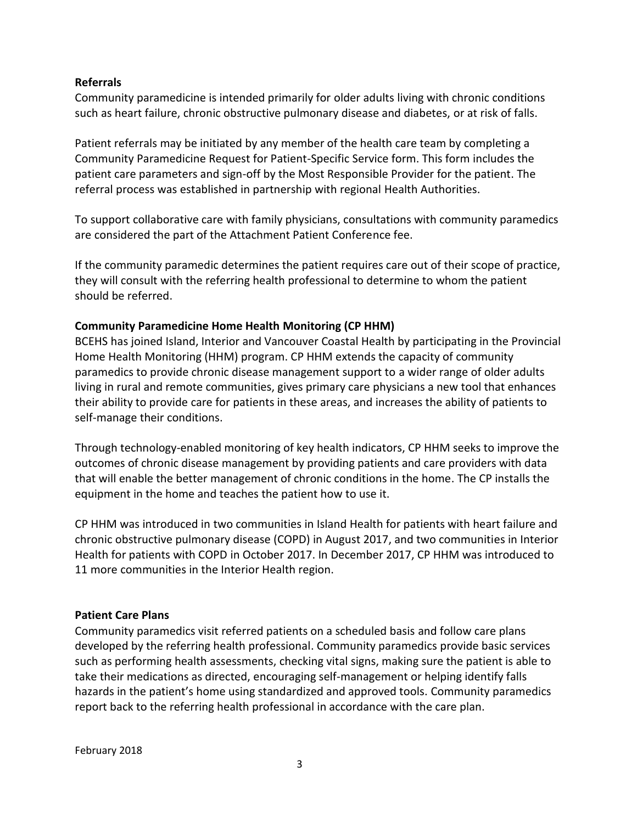#### **Referrals**

Community paramedicine is intended primarily for older adults living with chronic conditions such as heart failure, chronic obstructive pulmonary disease and diabetes, or at risk of falls.

Patient referrals may be initiated by any member of the health care team by completing a Community Paramedicine Request for Patient-Specific Service form. This form includes the patient care parameters and sign-off by the Most Responsible Provider for the patient. The referral process was established in partnership with regional Health Authorities.

To support collaborative care with family physicians, consultations with community paramedics are considered the part of the Attachment Patient Conference fee.

If the community paramedic determines the patient requires care out of their scope of practice, they will consult with the referring health professional to determine to whom the patient should be referred.

#### **Community Paramedicine Home Health Monitoring (CP HHM)**

BCEHS has joined Island, Interior and Vancouver Coastal Health by participating in the Provincial Home Health Monitoring (HHM) program. CP HHM extends the capacity of community paramedics to provide chronic disease management support to a wider range of older adults living in rural and remote communities, gives primary care physicians a new tool that enhances their ability to provide care for patients in these areas, and increases the ability of patients to self-manage their conditions.

Through technology-enabled monitoring of key health indicators, CP HHM seeks to improve the outcomes of chronic disease management by providing patients and care providers with data that will enable the better management of chronic conditions in the home. The CP installs the equipment in the home and teaches the patient how to use it.

CP HHM was introduced in two communities in Island Health for patients with heart failure and chronic obstructive pulmonary disease (COPD) in August 2017, and two communities in Interior Health for patients with COPD in October 2017. In December 2017, CP HHM was introduced to 11 more communities in the Interior Health region.

#### **Patient Care Plans**

Community paramedics visit referred patients on a scheduled basis and follow care plans developed by the referring health professional. Community paramedics provide basic services such as performing health assessments, checking vital signs, making sure the patient is able to take their medications as directed, encouraging self-management or helping identify falls hazards in the patient's home using standardized and approved tools. Community paramedics report back to the referring health professional in accordance with the care plan.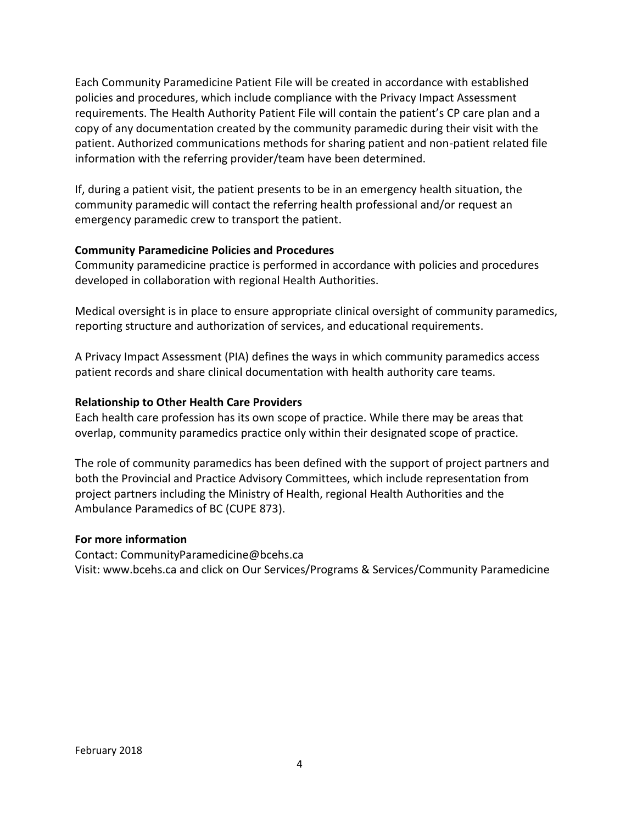Each Community Paramedicine Patient File will be created in accordance with established policies and procedures, which include compliance with the Privacy Impact Assessment requirements. The Health Authority Patient File will contain the patient's CP care plan and a copy of any documentation created by the community paramedic during their visit with the patient. Authorized communications methods for sharing patient and non-patient related file information with the referring provider/team have been determined.

If, during a patient visit, the patient presents to be in an emergency health situation, the community paramedic will contact the referring health professional and/or request an emergency paramedic crew to transport the patient.

# **Community Paramedicine Policies and Procedures**

Community paramedicine practice is performed in accordance with policies and procedures developed in collaboration with regional Health Authorities.

Medical oversight is in place to ensure appropriate clinical oversight of community paramedics, reporting structure and authorization of services, and educational requirements.

A Privacy Impact Assessment (PIA) defines the ways in which community paramedics access patient records and share clinical documentation with health authority care teams.

# **Relationship to Other Health Care Providers**

Each health care profession has its own scope of practice. While there may be areas that overlap, community paramedics practice only within their designated scope of practice.

The role of community paramedics has been defined with the support of project partners and both the Provincial and Practice Advisory Committees, which include representation from project partners including the Ministry of Health, regional Health Authorities and the Ambulance Paramedics of BC (CUPE 873).

#### **For more information**

Contact: CommunityParamedicine@bcehs.ca Visit: www.bcehs.ca and click on Our Services/Programs & Services/Community Paramedicine